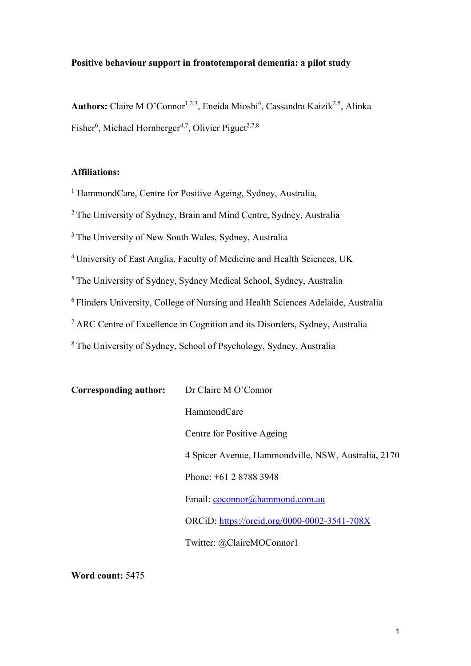# **Positive behaviour support in frontotemporal dementia: a pilot study**

Authors: Claire M O'Connor<sup>1,2,3</sup>, Eneida Mioshi<sup>4</sup>, Cassandra Kaizik<sup>2,5</sup>, Alinka Fisher<sup>6</sup>, Michael Hornberger<sup>4,7</sup>, Olivier Piguet<sup>2,7,8</sup>

# **Affiliations:**

<sup>1</sup> HammondCare, Centre for Positive Ageing, Sydney, Australia,

<sup>2</sup> The University of Sydney, Brain and Mind Centre, Sydney, Australia

<sup>3</sup> The University of New South Wales, Sydney, Australia

<sup>4</sup>University of East Anglia, Faculty of Medicine and Health Sciences, UK

<sup>5</sup>The University of Sydney, Sydney Medical School, Sydney, Australia

<sup>6</sup>Flinders University, College of Nursing and Health Sciences Adelaide, Australia

<sup>7</sup>ARC Centre of Excellence in Cognition and its Disorders, Sydney, Australia

<sup>8</sup>The University of Sydney, School of Psychology, Sydney, Australia

| Corresponding author: | Dr Claire M O'Connor                                |
|-----------------------|-----------------------------------------------------|
|                       | HammondCare                                         |
|                       | Centre for Positive Ageing                          |
|                       | 4 Spicer Avenue, Hammondville, NSW, Australia, 2170 |
|                       | Phone: $+61$ 2 8788 3948                            |
|                       | Email: coconnor@hammond.com.au                      |
|                       | ORCiD: https://orcid.org/0000-0002-3541-708X        |
|                       | Twitter: @ClaireMOConnor1                           |

**Word count:** 5475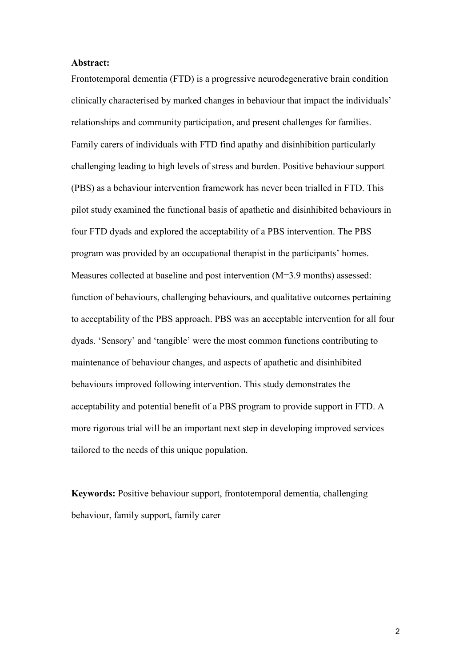#### **Abstract:**

Frontotemporal dementia (FTD) is a progressive neurodegenerative brain condition clinically characterised by marked changes in behaviour that impact the individuals' relationships and community participation, and present challenges for families. Family carers of individuals with FTD find apathy and disinhibition particularly challenging leading to high levels of stress and burden. Positive behaviour support (PBS) as a behaviour intervention framework has never been trialled in FTD. This pilot study examined the functional basis of apathetic and disinhibited behaviours in four FTD dyads and explored the acceptability of a PBS intervention. The PBS program was provided by an occupational therapist in the participants' homes. Measures collected at baseline and post intervention (M=3.9 months) assessed: function of behaviours, challenging behaviours, and qualitative outcomes pertaining to acceptability of the PBS approach. PBS was an acceptable intervention for all four dyads. 'Sensory' and 'tangible' were the most common functions contributing to maintenance of behaviour changes, and aspects of apathetic and disinhibited behaviours improved following intervention. This study demonstrates the acceptability and potential benefit of a PBS program to provide support in FTD. A more rigorous trial will be an important next step in developing improved services tailored to the needs of this unique population.

**Keywords:** Positive behaviour support, frontotemporal dementia, challenging behaviour, family support, family carer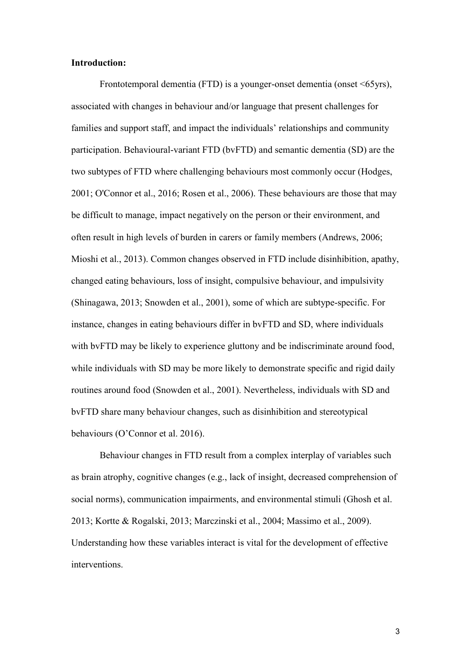#### **Introduction:**

Frontotemporal dementia (FTD) is a younger-onset dementia (onset <65yrs), associated with changes in behaviour and/or language that present challenges for families and support staff, and impact the individuals' relationships and community participation. Behavioural-variant FTD (bvFTD) and semantic dementia (SD) are the two subtypes of FTD where challenging behaviours most commonly occur (Hodges, 2001; O'Connor et al., 2016; Rosen et al., 2006). These behaviours are those that may be difficult to manage, impact negatively on the person or their environment, and often result in high levels of burden in carers or family members (Andrews, 2006; Mioshi et al., 2013). Common changes observed in FTD include disinhibition, apathy, changed eating behaviours, loss of insight, compulsive behaviour, and impulsivity (Shinagawa, 2013; Snowden et al., 2001), some of which are subtype-specific. For instance, changes in eating behaviours differ in bvFTD and SD, where individuals with bvFTD may be likely to experience gluttony and be indiscriminate around food, while individuals with SD may be more likely to demonstrate specific and rigid daily routines around food (Snowden et al., 2001). Nevertheless, individuals with SD and bvFTD share many behaviour changes, such as disinhibition and stereotypical behaviours (O'Connor et al. 2016).

Behaviour changes in FTD result from a complex interplay of variables such as brain atrophy, cognitive changes (e.g., lack of insight, decreased comprehension of social norms), communication impairments, and environmental stimuli (Ghosh et al. 2013; Kortte & Rogalski, 2013; Marczinski et al., 2004; Massimo et al., 2009). Understanding how these variables interact is vital for the development of effective interventions.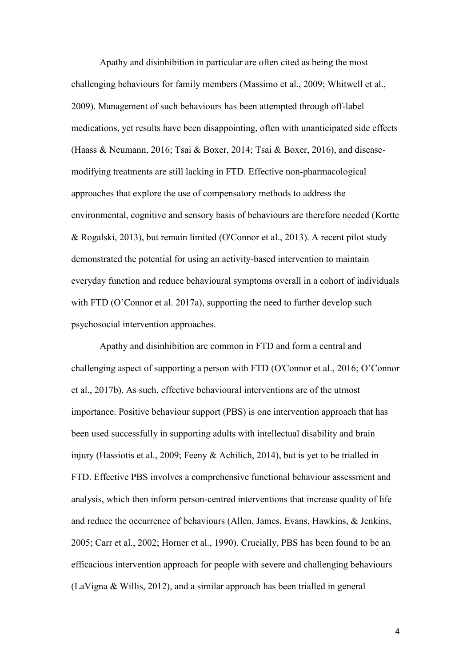Apathy and disinhibition in particular are often cited as being the most challenging behaviours for family members (Massimo et al., 2009; Whitwell et al., 2009). Management of such behaviours has been attempted through off-label medications, yet results have been disappointing, often with unanticipated side effects (Haass & Neumann, 2016; Tsai & Boxer, 2014; Tsai & Boxer, 2016), and diseasemodifying treatments are still lacking in FTD. Effective non-pharmacological approaches that explore the use of compensatory methods to address the environmental, cognitive and sensory basis of behaviours are therefore needed (Kortte & Rogalski, 2013), but remain limited (O'Connor et al., 2013). A recent pilot study demonstrated the potential for using an activity-based intervention to maintain everyday function and reduce behavioural symptoms overall in a cohort of individuals with FTD (O'Connor et al. 2017a), supporting the need to further develop such psychosocial intervention approaches.

Apathy and disinhibition are common in FTD and form a central and challenging aspect of supporting a person with FTD (O'Connor et al., 2016; O'Connor et al., 2017b). As such, effective behavioural interventions are of the utmost importance. Positive behaviour support (PBS) is one intervention approach that has been used successfully in supporting adults with intellectual disability and brain injury (Hassiotis et al., 2009; Feeny & Achilich, 2014), but is yet to be trialled in FTD. Effective PBS involves a comprehensive functional behaviour assessment and analysis, which then inform person-centred interventions that increase quality of life and reduce the occurrence of behaviours (Allen, James, Evans, Hawkins, & Jenkins, 2005; Carr et al., 2002; Horner et al., 1990). Crucially, PBS has been found to be an efficacious intervention approach for people with severe and challenging behaviours (LaVigna & Willis, 2012), and a similar approach has been trialled in general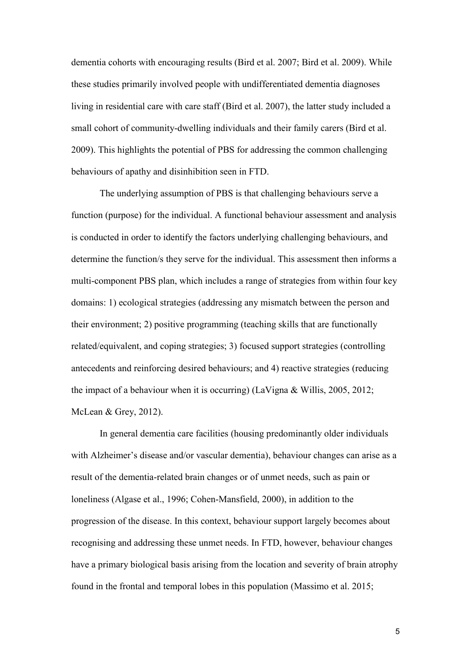dementia cohorts with encouraging results (Bird et al. 2007; Bird et al. 2009). While these studies primarily involved people with undifferentiated dementia diagnoses living in residential care with care staff (Bird et al. 2007), the latter study included a small cohort of community-dwelling individuals and their family carers (Bird et al. 2009). This highlights the potential of PBS for addressing the common challenging behaviours of apathy and disinhibition seen in FTD.

The underlying assumption of PBS is that challenging behaviours serve a function (purpose) for the individual. A functional behaviour assessment and analysis is conducted in order to identify the factors underlying challenging behaviours, and determine the function/s they serve for the individual. This assessment then informs a multi-component PBS plan, which includes a range of strategies from within four key domains: 1) ecological strategies (addressing any mismatch between the person and their environment; 2) positive programming (teaching skills that are functionally related/equivalent, and coping strategies; 3) focused support strategies (controlling antecedents and reinforcing desired behaviours; and 4) reactive strategies (reducing the impact of a behaviour when it is occurring) (LaVigna & Willis, 2005, 2012; McLean & Grey, 2012).

In general dementia care facilities (housing predominantly older individuals with Alzheimer's disease and/or vascular dementia), behaviour changes can arise as a result of the dementia-related brain changes or of unmet needs, such as pain or loneliness (Algase et al., 1996; Cohen-Mansfield, 2000), in addition to the progression of the disease. In this context, behaviour support largely becomes about recognising and addressing these unmet needs. In FTD, however, behaviour changes have a primary biological basis arising from the location and severity of brain atrophy found in the frontal and temporal lobes in this population (Massimo et al. 2015;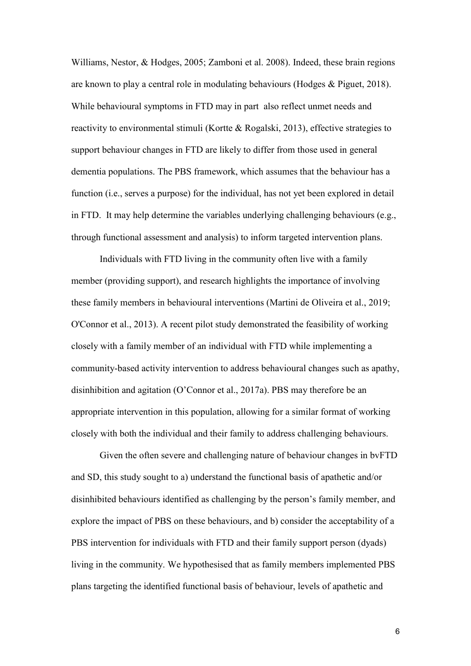Williams, Nestor, & Hodges, 2005; Zamboni et al. 2008). Indeed, these brain regions are known to play a central role in modulating behaviours (Hodges & Piguet, 2018). While behavioural symptoms in FTD may in part also reflect unmet needs and reactivity to environmental stimuli (Kortte & Rogalski, 2013), effective strategies to support behaviour changes in FTD are likely to differ from those used in general dementia populations. The PBS framework, which assumes that the behaviour has a function (i.e., serves a purpose) for the individual, has not yet been explored in detail in FTD. It may help determine the variables underlying challenging behaviours (e.g., through functional assessment and analysis) to inform targeted intervention plans.

Individuals with FTD living in the community often live with a family member (providing support), and research highlights the importance of involving these family members in behavioural interventions (Martini de Oliveira et al., 2019; O'Connor et al., 2013). A recent pilot study demonstrated the feasibility of working closely with a family member of an individual with FTD while implementing a community-based activity intervention to address behavioural changes such as apathy, disinhibition and agitation (O'Connor et al., 2017a). PBS may therefore be an appropriate intervention in this population, allowing for a similar format of working closely with both the individual and their family to address challenging behaviours.

Given the often severe and challenging nature of behaviour changes in bvFTD and SD, this study sought to a) understand the functional basis of apathetic and/or disinhibited behaviours identified as challenging by the person's family member, and explore the impact of PBS on these behaviours, and b) consider the acceptability of a PBS intervention for individuals with FTD and their family support person (dyads) living in the community. We hypothesised that as family members implemented PBS plans targeting the identified functional basis of behaviour, levels of apathetic and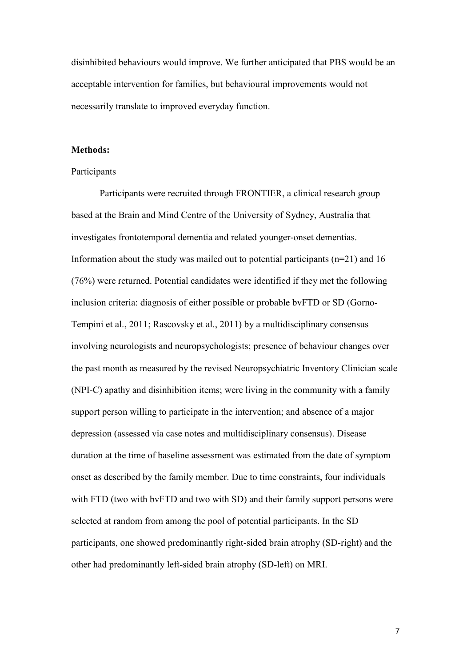disinhibited behaviours would improve. We further anticipated that PBS would be an acceptable intervention for families, but behavioural improvements would not necessarily translate to improved everyday function.

#### **Methods:**

#### Participants

Participants were recruited through FRONTIER, a clinical research group based at the Brain and Mind Centre of the University of Sydney, Australia that investigates frontotemporal dementia and related younger-onset dementias. Information about the study was mailed out to potential participants (n=21) and 16 (76%) were returned. Potential candidates were identified if they met the following inclusion criteria: diagnosis of either possible or probable bvFTD or SD (Gorno-Tempini et al., 2011; Rascovsky et al., 2011) by a multidisciplinary consensus involving neurologists and neuropsychologists; presence of behaviour changes over the past month as measured by the revised Neuropsychiatric Inventory Clinician scale (NPI-C) apathy and disinhibition items; were living in the community with a family support person willing to participate in the intervention; and absence of a major depression (assessed via case notes and multidisciplinary consensus). Disease duration at the time of baseline assessment was estimated from the date of symptom onset as described by the family member. Due to time constraints, four individuals with FTD (two with bvFTD and two with SD) and their family support persons were selected at random from among the pool of potential participants. In the SD participants, one showed predominantly right-sided brain atrophy (SD-right) and the other had predominantly left-sided brain atrophy (SD-left) on MRI.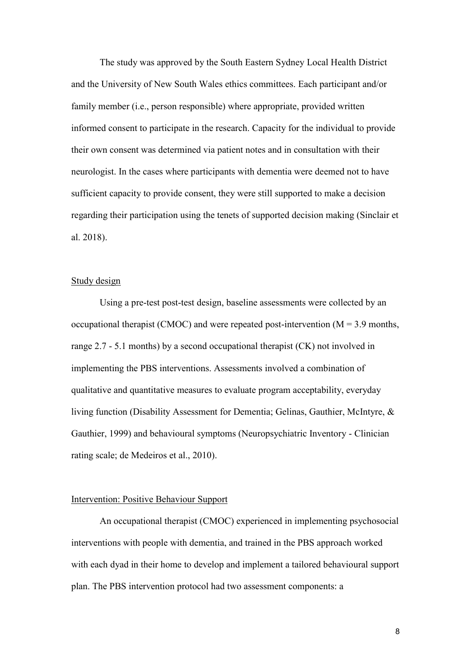The study was approved by the South Eastern Sydney Local Health District and the University of New South Wales ethics committees. Each participant and/or family member (i.e., person responsible) where appropriate, provided written informed consent to participate in the research. Capacity for the individual to provide their own consent was determined via patient notes and in consultation with their neurologist. In the cases where participants with dementia were deemed not to have sufficient capacity to provide consent, they were still supported to make a decision regarding their participation using the tenets of supported decision making (Sinclair et al. 2018).

## Study design

Using a pre-test post-test design, baseline assessments were collected by an occupational therapist (CMOC) and were repeated post-intervention  $(M = 3.9 \text{ months},$ range 2.7 - 5.1 months) by a second occupational therapist (CK) not involved in implementing the PBS interventions. Assessments involved a combination of qualitative and quantitative measures to evaluate program acceptability, everyday living function (Disability Assessment for Dementia; Gelinas, Gauthier, McIntyre, & Gauthier, 1999) and behavioural symptoms (Neuropsychiatric Inventory - Clinician rating scale; de Medeiros et al., 2010).

## Intervention: Positive Behaviour Support

An occupational therapist (CMOC) experienced in implementing psychosocial interventions with people with dementia, and trained in the PBS approach worked with each dyad in their home to develop and implement a tailored behavioural support plan. The PBS intervention protocol had two assessment components: a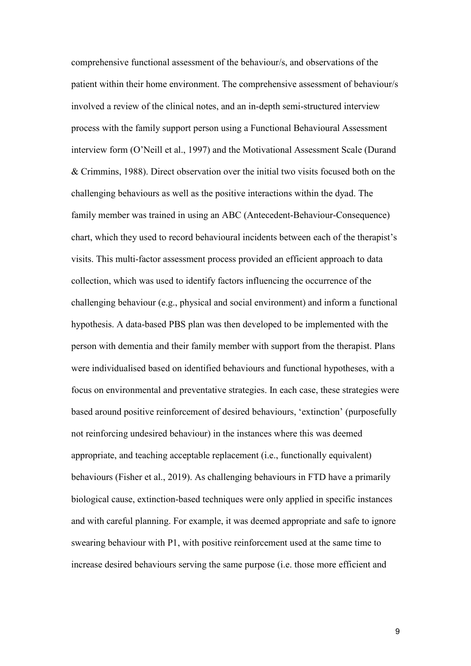comprehensive functional assessment of the behaviour/s, and observations of the patient within their home environment. The comprehensive assessment of behaviour/s involved a review of the clinical notes, and an in-depth semi-structured interview process with the family support person using a Functional Behavioural Assessment interview form (O'Neill et al., 1997) and the Motivational Assessment Scale (Durand & Crimmins, 1988). Direct observation over the initial two visits focused both on the challenging behaviours as well as the positive interactions within the dyad. The family member was trained in using an ABC (Antecedent-Behaviour-Consequence) chart, which they used to record behavioural incidents between each of the therapist's visits. This multi-factor assessment process provided an efficient approach to data collection, which was used to identify factors influencing the occurrence of the challenging behaviour (e.g., physical and social environment) and inform a functional hypothesis. A data-based PBS plan was then developed to be implemented with the person with dementia and their family member with support from the therapist. Plans were individualised based on identified behaviours and functional hypotheses, with a focus on environmental and preventative strategies. In each case, these strategies were based around positive reinforcement of desired behaviours, 'extinction' (purposefully not reinforcing undesired behaviour) in the instances where this was deemed appropriate, and teaching acceptable replacement (i.e., functionally equivalent) behaviours (Fisher et al., 2019). As challenging behaviours in FTD have a primarily biological cause, extinction-based techniques were only applied in specific instances and with careful planning. For example, it was deemed appropriate and safe to ignore swearing behaviour with P1, with positive reinforcement used at the same time to increase desired behaviours serving the same purpose (i.e. those more efficient and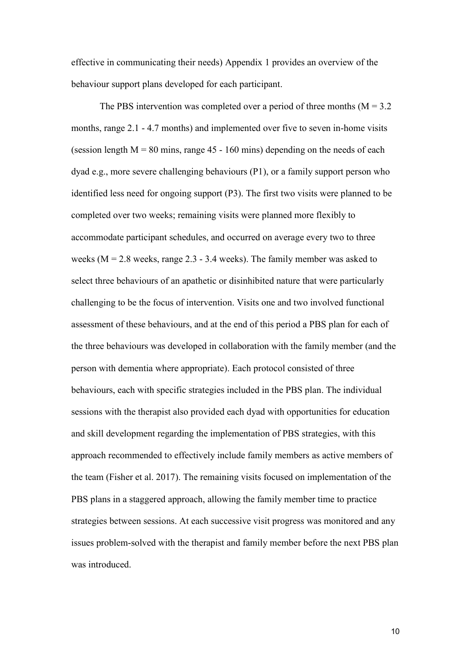effective in communicating their needs) Appendix 1 provides an overview of the behaviour support plans developed for each participant.

The PBS intervention was completed over a period of three months  $(M = 3.2)$ months, range 2.1 - 4.7 months) and implemented over five to seven in-home visits (session length  $M = 80$  mins, range 45 - 160 mins) depending on the needs of each dyad e.g., more severe challenging behaviours (P1), or a family support person who identified less need for ongoing support (P3). The first two visits were planned to be completed over two weeks; remaining visits were planned more flexibly to accommodate participant schedules, and occurred on average every two to three weeks ( $M = 2.8$  weeks, range 2.3 - 3.4 weeks). The family member was asked to select three behaviours of an apathetic or disinhibited nature that were particularly challenging to be the focus of intervention. Visits one and two involved functional assessment of these behaviours, and at the end of this period a PBS plan for each of the three behaviours was developed in collaboration with the family member (and the person with dementia where appropriate). Each protocol consisted of three behaviours, each with specific strategies included in the PBS plan. The individual sessions with the therapist also provided each dyad with opportunities for education and skill development regarding the implementation of PBS strategies, with this approach recommended to effectively include family members as active members of the team (Fisher et al. 2017). The remaining visits focused on implementation of the PBS plans in a staggered approach, allowing the family member time to practice strategies between sessions. At each successive visit progress was monitored and any issues problem-solved with the therapist and family member before the next PBS plan was introduced.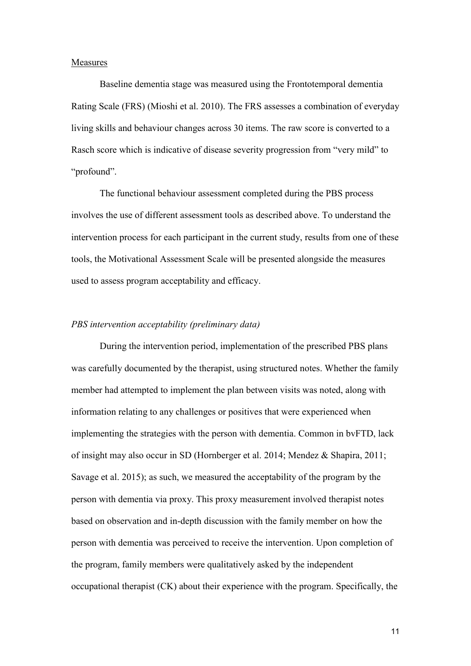## Measures

Baseline dementia stage was measured using the Frontotemporal dementia Rating Scale (FRS) (Mioshi et al. 2010). The FRS assesses a combination of everyday living skills and behaviour changes across 30 items. The raw score is converted to a Rasch score which is indicative of disease severity progression from "very mild" to "profound".

The functional behaviour assessment completed during the PBS process involves the use of different assessment tools as described above. To understand the intervention process for each participant in the current study, results from one of these tools, the Motivational Assessment Scale will be presented alongside the measures used to assess program acceptability and efficacy.

## *PBS intervention acceptability (preliminary data)*

During the intervention period, implementation of the prescribed PBS plans was carefully documented by the therapist, using structured notes. Whether the family member had attempted to implement the plan between visits was noted, along with information relating to any challenges or positives that were experienced when implementing the strategies with the person with dementia. Common in bvFTD, lack of insight may also occur in SD (Hornberger et al. 2014; Mendez & Shapira, 2011; Savage et al. 2015); as such, we measured the acceptability of the program by the person with dementia via proxy. This proxy measurement involved therapist notes based on observation and in-depth discussion with the family member on how the person with dementia was perceived to receive the intervention. Upon completion of the program, family members were qualitatively asked by the independent occupational therapist (CK) about their experience with the program. Specifically, the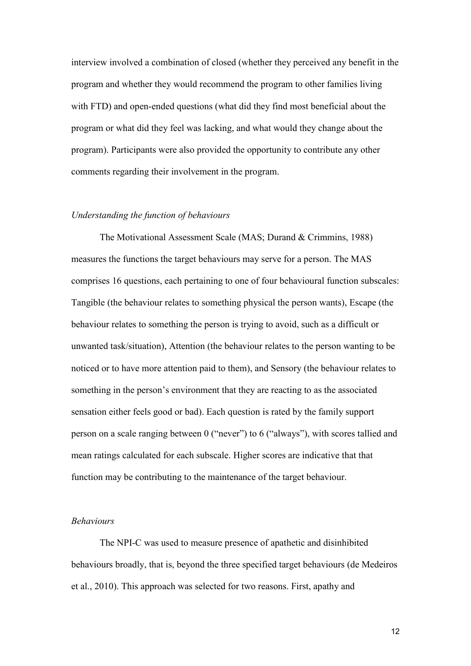interview involved a combination of closed (whether they perceived any benefit in the program and whether they would recommend the program to other families living with FTD) and open-ended questions (what did they find most beneficial about the program or what did they feel was lacking, and what would they change about the program). Participants were also provided the opportunity to contribute any other comments regarding their involvement in the program.

#### *Understanding the function of behaviours*

The Motivational Assessment Scale (MAS; Durand & Crimmins, 1988) measures the functions the target behaviours may serve for a person. The MAS comprises 16 questions, each pertaining to one of four behavioural function subscales: Tangible (the behaviour relates to something physical the person wants), Escape (the behaviour relates to something the person is trying to avoid, such as a difficult or unwanted task/situation), Attention (the behaviour relates to the person wanting to be noticed or to have more attention paid to them), and Sensory (the behaviour relates to something in the person's environment that they are reacting to as the associated sensation either feels good or bad). Each question is rated by the family support person on a scale ranging between 0 ("never") to 6 ("always"), with scores tallied and mean ratings calculated for each subscale. Higher scores are indicative that that function may be contributing to the maintenance of the target behaviour.

#### *Behaviours*

The NPI-C was used to measure presence of apathetic and disinhibited behaviours broadly, that is, beyond the three specified target behaviours (de Medeiros et al., 2010). This approach was selected for two reasons. First, apathy and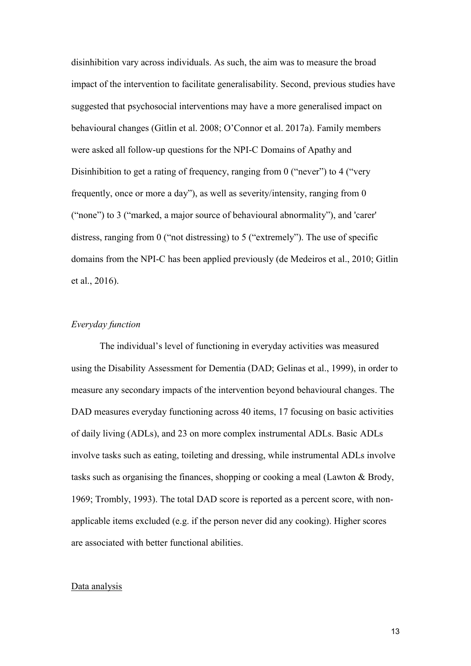disinhibition vary across individuals. As such, the aim was to measure the broad impact of the intervention to facilitate generalisability. Second, previous studies have suggested that psychosocial interventions may have a more generalised impact on behavioural changes (Gitlin et al. 2008; O'Connor et al. 2017a). Family members were asked all follow-up questions for the NPI-C Domains of Apathy and Disinhibition to get a rating of frequency, ranging from 0 ("never") to 4 ("very") frequently, once or more a day"), as well as severity/intensity, ranging from 0 ("none") to 3 ("marked, a major source of behavioural abnormality"), and 'carer' distress, ranging from 0 ("not distressing) to 5 ("extremely"). The use of specific domains from the NPI-C has been applied previously (de Medeiros et al., 2010; Gitlin et al., 2016).

## *Everyday function*

The individual's level of functioning in everyday activities was measured using the Disability Assessment for Dementia (DAD; Gelinas et al., 1999), in order to measure any secondary impacts of the intervention beyond behavioural changes. The DAD measures everyday functioning across 40 items, 17 focusing on basic activities of daily living (ADLs), and 23 on more complex instrumental ADLs. Basic ADLs involve tasks such as eating, toileting and dressing, while instrumental ADLs involve tasks such as organising the finances, shopping or cooking a meal (Lawton & Brody, 1969; Trombly, 1993). The total DAD score is reported as a percent score, with nonapplicable items excluded (e.g. if the person never did any cooking). Higher scores are associated with better functional abilities.

#### Data analysis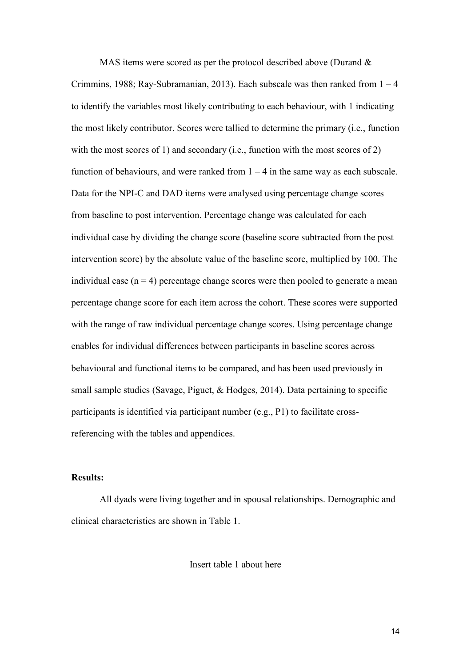MAS items were scored as per the protocol described above (Durand & Crimmins, 1988; Ray-Subramanian, 2013). Each subscale was then ranked from  $1 - 4$ to identify the variables most likely contributing to each behaviour, with 1 indicating the most likely contributor. Scores were tallied to determine the primary (i.e., function with the most scores of 1) and secondary (i.e., function with the most scores of 2) function of behaviours, and were ranked from  $1 - 4$  in the same way as each subscale. Data for the NPI-C and DAD items were analysed using percentage change scores from baseline to post intervention. Percentage change was calculated for each individual case by dividing the change score (baseline score subtracted from the post intervention score) by the absolute value of the baseline score, multiplied by 100. The individual case  $(n = 4)$  percentage change scores were then pooled to generate a mean percentage change score for each item across the cohort. These scores were supported with the range of raw individual percentage change scores. Using percentage change enables for individual differences between participants in baseline scores across behavioural and functional items to be compared, and has been used previously in small sample studies (Savage, Piguet, & Hodges, 2014). Data pertaining to specific participants is identified via participant number (e.g., P1) to facilitate crossreferencing with the tables and appendices.

## **Results:**

All dyads were living together and in spousal relationships. Demographic and clinical characteristics are shown in Table 1.

Insert table 1 about here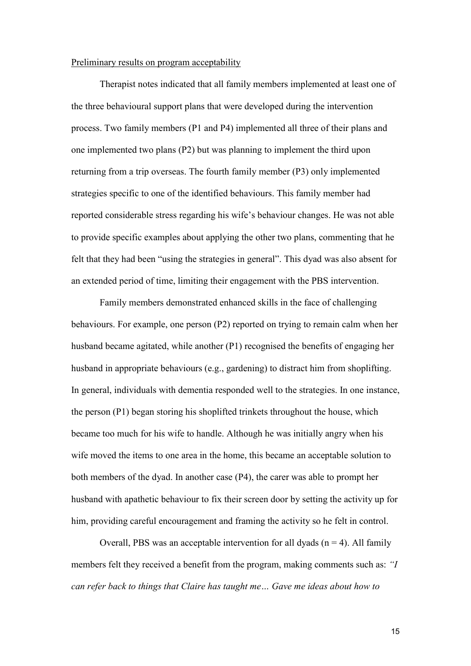#### Preliminary results on program acceptability

Therapist notes indicated that all family members implemented at least one of the three behavioural support plans that were developed during the intervention process. Two family members (P1 and P4) implemented all three of their plans and one implemented two plans (P2) but was planning to implement the third upon returning from a trip overseas. The fourth family member (P3) only implemented strategies specific to one of the identified behaviours. This family member had reported considerable stress regarding his wife's behaviour changes. He was not able to provide specific examples about applying the other two plans, commenting that he felt that they had been "using the strategies in general". This dyad was also absent for an extended period of time, limiting their engagement with the PBS intervention.

Family members demonstrated enhanced skills in the face of challenging behaviours. For example, one person (P2) reported on trying to remain calm when her husband became agitated, while another (P1) recognised the benefits of engaging her husband in appropriate behaviours (e.g., gardening) to distract him from shoplifting. In general, individuals with dementia responded well to the strategies. In one instance, the person (P1) began storing his shoplifted trinkets throughout the house, which became too much for his wife to handle. Although he was initially angry when his wife moved the items to one area in the home, this became an acceptable solution to both members of the dyad. In another case (P4), the carer was able to prompt her husband with apathetic behaviour to fix their screen door by setting the activity up for him, providing careful encouragement and framing the activity so he felt in control.

Overall, PBS was an acceptable intervention for all dyads  $(n = 4)$ . All family members felt they received a benefit from the program, making comments such as: *"I can refer back to things that Claire has taught me… Gave me ideas about how to*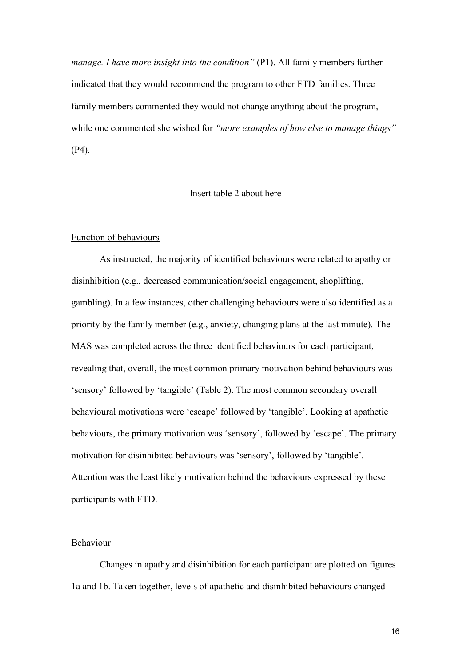*manage. I have more insight into the condition"* (P1). All family members further indicated that they would recommend the program to other FTD families. Three family members commented they would not change anything about the program, while one commented she wished for *"more examples of how else to manage things"* (P4).

#### Insert table 2 about here

#### Function of behaviours

As instructed, the majority of identified behaviours were related to apathy or disinhibition (e.g., decreased communication/social engagement, shoplifting, gambling). In a few instances, other challenging behaviours were also identified as a priority by the family member (e.g., anxiety, changing plans at the last minute). The MAS was completed across the three identified behaviours for each participant, revealing that, overall, the most common primary motivation behind behaviours was 'sensory' followed by 'tangible' (Table 2). The most common secondary overall behavioural motivations were 'escape' followed by 'tangible'. Looking at apathetic behaviours, the primary motivation was 'sensory', followed by 'escape'. The primary motivation for disinhibited behaviours was 'sensory', followed by 'tangible'. Attention was the least likely motivation behind the behaviours expressed by these participants with FTD.

## Behaviour

Changes in apathy and disinhibition for each participant are plotted on figures 1a and 1b. Taken together, levels of apathetic and disinhibited behaviours changed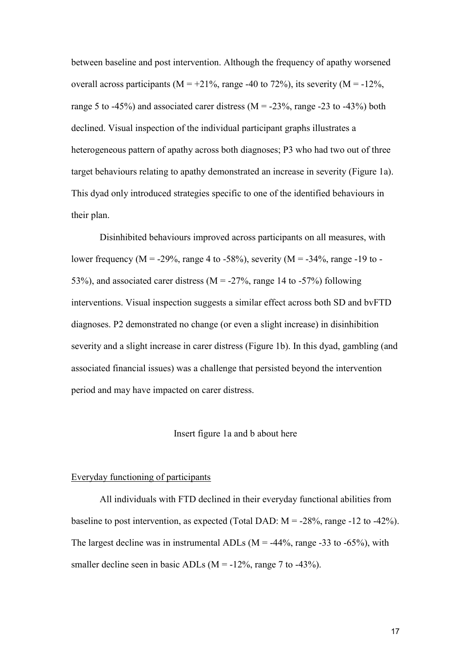between baseline and post intervention. Although the frequency of apathy worsened overall across participants ( $M = +21\%$ , range -40 to 72%), its severity ( $M = -12\%$ , range 5 to -45%) and associated carer distress ( $M = -23\%$ , range -23 to -43%) both declined. Visual inspection of the individual participant graphs illustrates a heterogeneous pattern of apathy across both diagnoses; P3 who had two out of three target behaviours relating to apathy demonstrated an increase in severity (Figure 1a). This dyad only introduced strategies specific to one of the identified behaviours in their plan.

Disinhibited behaviours improved across participants on all measures, with lower frequency ( $M = -29\%$ , range 4 to -58%), severity ( $M = -34\%$ , range -19 to -53%), and associated carer distress ( $M = -27\%$ , range 14 to -57%) following interventions. Visual inspection suggests a similar effect across both SD and bvFTD diagnoses. P2 demonstrated no change (or even a slight increase) in disinhibition severity and a slight increase in carer distress (Figure 1b). In this dyad, gambling (and associated financial issues) was a challenge that persisted beyond the intervention period and may have impacted on carer distress.

### Insert figure 1a and b about here

#### Everyday functioning of participants

All individuals with FTD declined in their everyday functional abilities from baseline to post intervention, as expected (Total DAD:  $M = -28\%$ , range -12 to -42%). The largest decline was in instrumental ADLs ( $M = -44\%$ , range  $-33$  to  $-65\%$ ), with smaller decline seen in basic ADLs ( $M = -12\%$ , range 7 to  $-43\%$ ).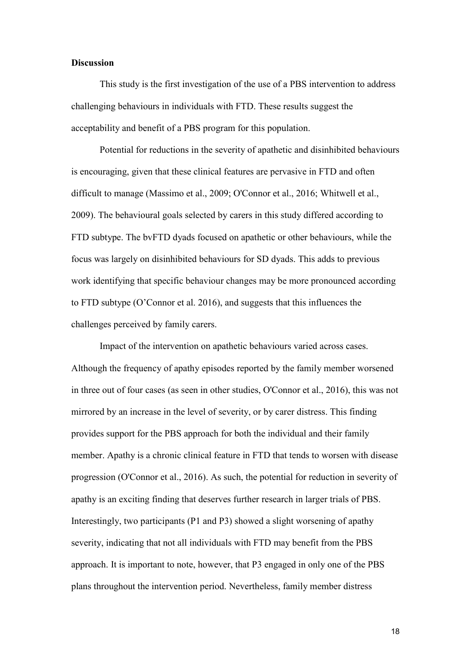## **Discussion**

This study is the first investigation of the use of a PBS intervention to address challenging behaviours in individuals with FTD. These results suggest the acceptability and benefit of a PBS program for this population.

Potential for reductions in the severity of apathetic and disinhibited behaviours is encouraging, given that these clinical features are pervasive in FTD and often difficult to manage (Massimo et al., 2009; O'Connor et al., 2016; Whitwell et al., 2009). The behavioural goals selected by carers in this study differed according to FTD subtype. The bvFTD dyads focused on apathetic or other behaviours, while the focus was largely on disinhibited behaviours for SD dyads. This adds to previous work identifying that specific behaviour changes may be more pronounced according to FTD subtype (O'Connor et al. 2016), and suggests that this influences the challenges perceived by family carers.

Impact of the intervention on apathetic behaviours varied across cases. Although the frequency of apathy episodes reported by the family member worsened in three out of four cases (as seen in other studies, O'Connor et al., 2016), this was not mirrored by an increase in the level of severity, or by carer distress. This finding provides support for the PBS approach for both the individual and their family member. Apathy is a chronic clinical feature in FTD that tends to worsen with disease progression (O'Connor et al., 2016). As such, the potential for reduction in severity of apathy is an exciting finding that deserves further research in larger trials of PBS. Interestingly, two participants (P1 and P3) showed a slight worsening of apathy severity, indicating that not all individuals with FTD may benefit from the PBS approach. It is important to note, however, that P3 engaged in only one of the PBS plans throughout the intervention period. Nevertheless, family member distress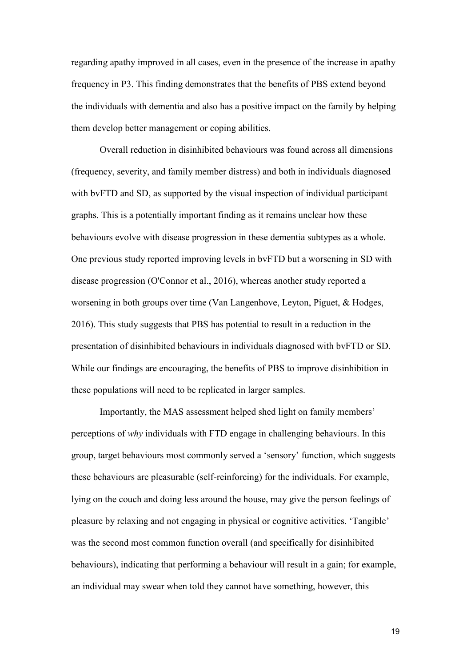regarding apathy improved in all cases, even in the presence of the increase in apathy frequency in P3. This finding demonstrates that the benefits of PBS extend beyond the individuals with dementia and also has a positive impact on the family by helping them develop better management or coping abilities.

Overall reduction in disinhibited behaviours was found across all dimensions (frequency, severity, and family member distress) and both in individuals diagnosed with bvFTD and SD, as supported by the visual inspection of individual participant graphs. This is a potentially important finding as it remains unclear how these behaviours evolve with disease progression in these dementia subtypes as a whole. One previous study reported improving levels in bvFTD but a worsening in SD with disease progression (O'Connor et al., 2016), whereas another study reported a worsening in both groups over time (Van Langenhove, Leyton, Piguet, & Hodges, 2016). This study suggests that PBS has potential to result in a reduction in the presentation of disinhibited behaviours in individuals diagnosed with bvFTD or SD. While our findings are encouraging, the benefits of PBS to improve disinhibition in these populations will need to be replicated in larger samples.

Importantly, the MAS assessment helped shed light on family members' perceptions of *why* individuals with FTD engage in challenging behaviours. In this group, target behaviours most commonly served a 'sensory' function, which suggests these behaviours are pleasurable (self-reinforcing) for the individuals. For example, lying on the couch and doing less around the house, may give the person feelings of pleasure by relaxing and not engaging in physical or cognitive activities. 'Tangible' was the second most common function overall (and specifically for disinhibited behaviours), indicating that performing a behaviour will result in a gain; for example, an individual may swear when told they cannot have something, however, this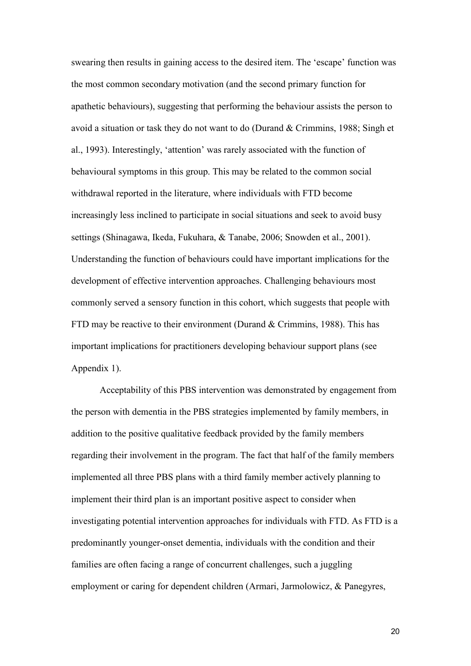swearing then results in gaining access to the desired item. The 'escape' function was the most common secondary motivation (and the second primary function for apathetic behaviours), suggesting that performing the behaviour assists the person to avoid a situation or task they do not want to do (Durand & Crimmins, 1988; Singh et al., 1993). Interestingly, 'attention' was rarely associated with the function of behavioural symptoms in this group. This may be related to the common social withdrawal reported in the literature, where individuals with FTD become increasingly less inclined to participate in social situations and seek to avoid busy settings (Shinagawa, Ikeda, Fukuhara, & Tanabe, 2006; Snowden et al., 2001). Understanding the function of behaviours could have important implications for the development of effective intervention approaches. Challenging behaviours most commonly served a sensory function in this cohort, which suggests that people with FTD may be reactive to their environment (Durand & Crimmins, 1988). This has important implications for practitioners developing behaviour support plans (see Appendix 1).

Acceptability of this PBS intervention was demonstrated by engagement from the person with dementia in the PBS strategies implemented by family members, in addition to the positive qualitative feedback provided by the family members regarding their involvement in the program. The fact that half of the family members implemented all three PBS plans with a third family member actively planning to implement their third plan is an important positive aspect to consider when investigating potential intervention approaches for individuals with FTD. As FTD is a predominantly younger-onset dementia, individuals with the condition and their families are often facing a range of concurrent challenges, such a juggling employment or caring for dependent children (Armari, Jarmolowicz, & Panegyres,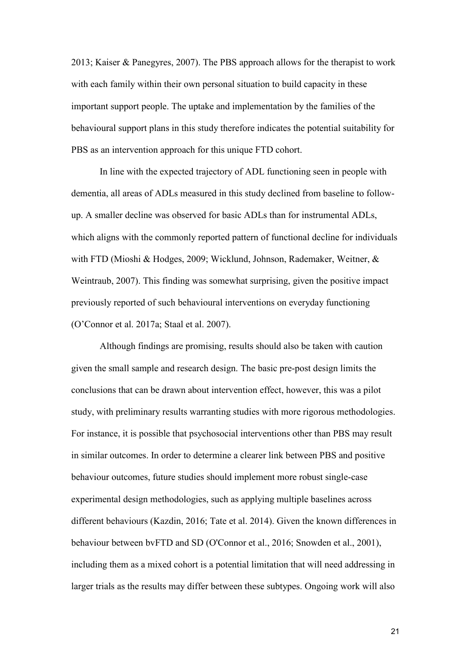2013; Kaiser & Panegyres, 2007). The PBS approach allows for the therapist to work with each family within their own personal situation to build capacity in these important support people. The uptake and implementation by the families of the behavioural support plans in this study therefore indicates the potential suitability for PBS as an intervention approach for this unique FTD cohort.

In line with the expected trajectory of ADL functioning seen in people with dementia, all areas of ADLs measured in this study declined from baseline to followup. A smaller decline was observed for basic ADLs than for instrumental ADLs, which aligns with the commonly reported pattern of functional decline for individuals with FTD (Mioshi & Hodges, 2009; Wicklund, Johnson, Rademaker, Weitner, & Weintraub, 2007). This finding was somewhat surprising, given the positive impact previously reported of such behavioural interventions on everyday functioning (O'Connor et al. 2017a; Staal et al. 2007).

Although findings are promising, results should also be taken with caution given the small sample and research design. The basic pre-post design limits the conclusions that can be drawn about intervention effect, however, this was a pilot study, with preliminary results warranting studies with more rigorous methodologies. For instance, it is possible that psychosocial interventions other than PBS may result in similar outcomes. In order to determine a clearer link between PBS and positive behaviour outcomes, future studies should implement more robust single-case experimental design methodologies, such as applying multiple baselines across different behaviours (Kazdin, 2016; Tate et al. 2014). Given the known differences in behaviour between bvFTD and SD (O'Connor et al., 2016; Snowden et al., 2001), including them as a mixed cohort is a potential limitation that will need addressing in larger trials as the results may differ between these subtypes. Ongoing work will also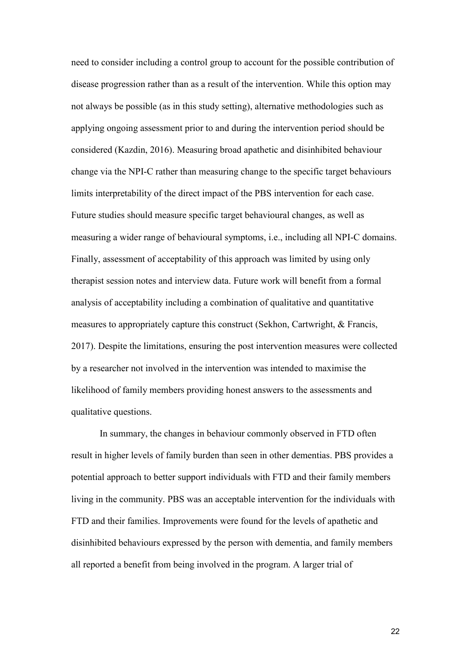need to consider including a control group to account for the possible contribution of disease progression rather than as a result of the intervention. While this option may not always be possible (as in this study setting), alternative methodologies such as applying ongoing assessment prior to and during the intervention period should be considered (Kazdin, 2016). Measuring broad apathetic and disinhibited behaviour change via the NPI-C rather than measuring change to the specific target behaviours limits interpretability of the direct impact of the PBS intervention for each case. Future studies should measure specific target behavioural changes, as well as measuring a wider range of behavioural symptoms, i.e., including all NPI-C domains. Finally, assessment of acceptability of this approach was limited by using only therapist session notes and interview data. Future work will benefit from a formal analysis of acceptability including a combination of qualitative and quantitative measures to appropriately capture this construct (Sekhon, Cartwright, & Francis, 2017). Despite the limitations, ensuring the post intervention measures were collected by a researcher not involved in the intervention was intended to maximise the likelihood of family members providing honest answers to the assessments and qualitative questions.

In summary, the changes in behaviour commonly observed in FTD often result in higher levels of family burden than seen in other dementias. PBS provides a potential approach to better support individuals with FTD and their family members living in the community. PBS was an acceptable intervention for the individuals with FTD and their families. Improvements were found for the levels of apathetic and disinhibited behaviours expressed by the person with dementia, and family members all reported a benefit from being involved in the program. A larger trial of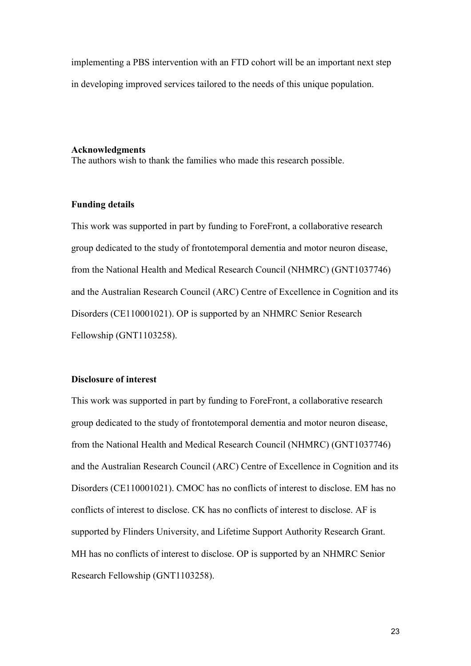implementing a PBS intervention with an FTD cohort will be an important next step in developing improved services tailored to the needs of this unique population.

#### **Acknowledgments**

The authors wish to thank the families who made this research possible.

## **Funding details**

This work was supported in part by funding to ForeFront, a collaborative research group dedicated to the study of frontotemporal dementia and motor neuron disease, from the National Health and Medical Research Council (NHMRC) (GNT1037746) and the Australian Research Council (ARC) Centre of Excellence in Cognition and its Disorders (CE110001021). OP is supported by an NHMRC Senior Research Fellowship (GNT1103258).

## **Disclosure of interest**

This work was supported in part by funding to ForeFront, a collaborative research group dedicated to the study of frontotemporal dementia and motor neuron disease, from the National Health and Medical Research Council (NHMRC) (GNT1037746) and the Australian Research Council (ARC) Centre of Excellence in Cognition and its Disorders (CE110001021). CMOC has no conflicts of interest to disclose. EM has no conflicts of interest to disclose. CK has no conflicts of interest to disclose. AF is supported by Flinders University, and Lifetime Support Authority Research Grant. MH has no conflicts of interest to disclose. OP is supported by an NHMRC Senior Research Fellowship (GNT1103258).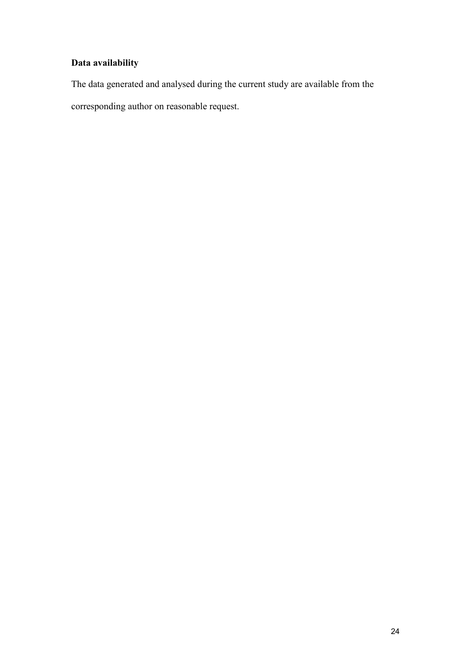# **Data availability**

The data generated and analysed during the current study are available from the corresponding author on reasonable request.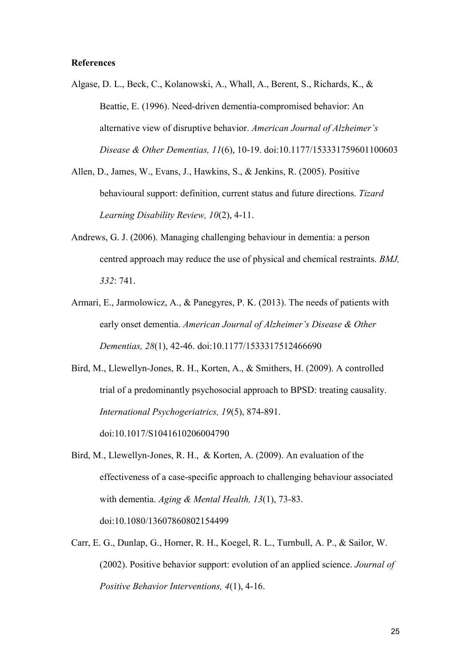#### **References**

- Algase, D. L., Beck, C., Kolanowski, A., Whall, A., Berent, S., Richards, K., & Beattie, E. (1996). Need-driven dementia-compromised behavior: An alternative view of disruptive behavior. *American Journal of Alzheimer's Disease & Other Dementias, 11*(6), 10-19. doi:10.1177/153331759601100603
- Allen, D., James, W., Evans, J., Hawkins, S., & Jenkins, R. (2005). Positive behavioural support: definition, current status and future directions. *Tizard Learning Disability Review, 10*(2), 4-11.
- Andrews, G. J. (2006). Managing challenging behaviour in dementia: a person centred approach may reduce the use of physical and chemical restraints. *BMJ, 332*: 741.
- Armari, E., Jarmolowicz, A., & Panegyres, P. K. (2013). The needs of patients with early onset dementia. *American Journal of Alzheimer's Disease & Other Dementias, 28*(1), 42-46. doi:10.1177/1533317512466690
- Bird, M., Llewellyn-Jones, R. H., Korten, A., & Smithers, H. (2009). A controlled trial of a predominantly psychosocial approach to BPSD: treating causality. *International Psychogeriatrics, 19*(5), 874-891. doi:10.1017/S1041610206004790
- Bird, M., Llewellyn-Jones, R. H., & Korten, A. (2009). An evaluation of the effectiveness of a case-specific approach to challenging behaviour associated with dementia. *Aging & Mental Health, 13*(1), 73-83. doi:10.1080/13607860802154499
- Carr, E. G., Dunlap, G., Horner, R. H., Koegel, R. L., Turnbull, A. P., & Sailor, W. (2002). Positive behavior support: evolution of an applied science. *Journal of Positive Behavior Interventions, 4*(1), 4-16.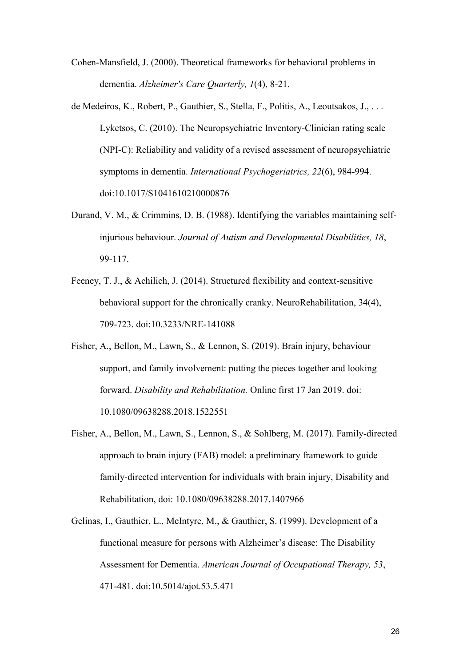Cohen-Mansfield, J. (2000). Theoretical frameworks for behavioral problems in dementia. *Alzheimer's Care Quarterly, 1*(4), 8-21.

- de Medeiros, K., Robert, P., Gauthier, S., Stella, F., Politis, A., Leoutsakos, J., . . . Lyketsos, C. (2010). The Neuropsychiatric Inventory-Clinician rating scale (NPI-C): Reliability and validity of a revised assessment of neuropsychiatric symptoms in dementia. *International Psychogeriatrics, 22*(6), 984-994. doi:10.1017/S1041610210000876
- Durand, V. M., & Crimmins, D. B. (1988). Identifying the variables maintaining selfinjurious behaviour. *Journal of Autism and Developmental Disabilities, 18*, 99-117.
- Feeney, T. J., & Achilich, J. (2014). Structured flexibility and context-sensitive behavioral support for the chronically cranky. NeuroRehabilitation, 34(4), 709-723. doi:10.3233/NRE-141088
- Fisher, A., Bellon, M., Lawn, S., & Lennon, S. (2019). Brain injury, behaviour support, and family involvement: putting the pieces together and looking forward. *Disability and Rehabilitation.* Online first 17 Jan 2019. doi: 10.1080/09638288.2018.1522551
- Fisher, A., Bellon, M., Lawn, S., Lennon, S., & Sohlberg, M. (2017). Family-directed approach to brain injury (FAB) model: a preliminary framework to guide family-directed intervention for individuals with brain injury, Disability and Rehabilitation, doi: 10.1080/09638288.2017.1407966
- Gelinas, I., Gauthier, L., McIntyre, M., & Gauthier, S. (1999). Development of a functional measure for persons with Alzheimer's disease: The Disability Assessment for Dementia. *American Journal of Occupational Therapy, 53*, 471-481. doi:10.5014/ajot.53.5.471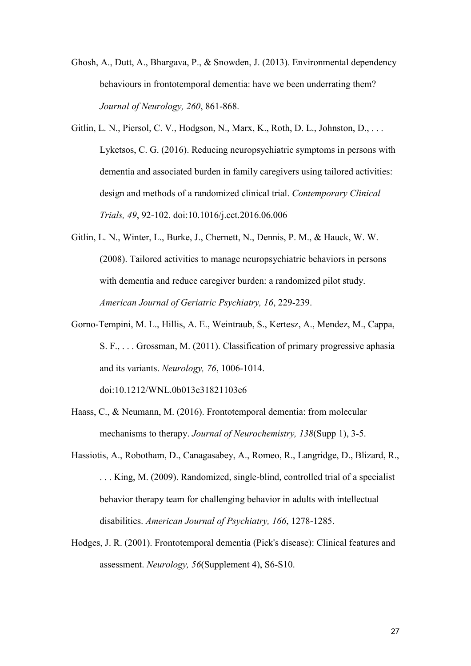- Ghosh, A., Dutt, A., Bhargava, P., & Snowden, J. (2013). Environmental dependency behaviours in frontotemporal dementia: have we been underrating them? *Journal of Neurology, 260*, 861-868.
- Gitlin, L. N., Piersol, C. V., Hodgson, N., Marx, K., Roth, D. L., Johnston, D., . . . Lyketsos, C. G. (2016). Reducing neuropsychiatric symptoms in persons with dementia and associated burden in family caregivers using tailored activities: design and methods of a randomized clinical trial. *Contemporary Clinical Trials, 49*, 92-102. doi:10.1016/j.cct.2016.06.006
- Gitlin, L. N., Winter, L., Burke, J., Chernett, N., Dennis, P. M., & Hauck, W. W. (2008). Tailored activities to manage neuropsychiatric behaviors in persons with dementia and reduce caregiver burden: a randomized pilot study. *American Journal of Geriatric Psychiatry, 16*, 229-239.
- Gorno-Tempini, M. L., Hillis, A. E., Weintraub, S., Kertesz, A., Mendez, M., Cappa, S. F., . . . Grossman, M. (2011). Classification of primary progressive aphasia and its variants. *Neurology, 76*, 1006-1014.

doi:10.1212/WNL.0b013e31821103e6

- Haass, C., & Neumann, M. (2016). Frontotemporal dementia: from molecular mechanisms to therapy. *Journal of Neurochemistry, 138*(Supp 1), 3-5.
- Hassiotis, A., Robotham, D., Canagasabey, A., Romeo, R., Langridge, D., Blizard, R., . . . King, M. (2009). Randomized, single-blind, controlled trial of a specialist behavior therapy team for challenging behavior in adults with intellectual disabilities. *American Journal of Psychiatry, 166*, 1278-1285.
- Hodges, J. R. (2001). Frontotemporal dementia (Pick's disease): Clinical features and assessment. *Neurology, 56*(Supplement 4), S6-S10.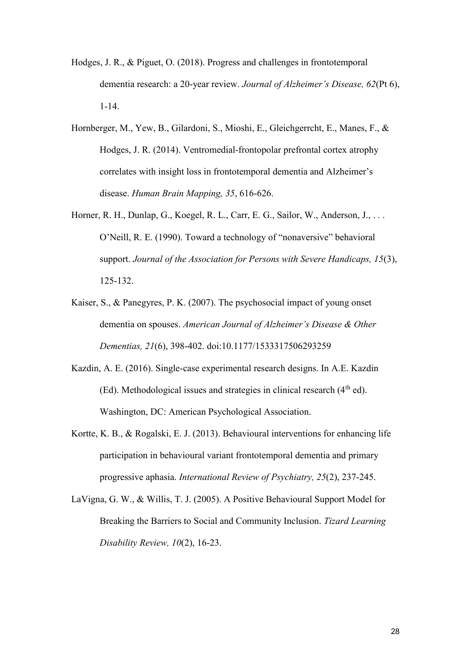- Hodges, J. R., & Piguet, O. (2018). Progress and challenges in frontotemporal dementia research: a 20-year review. *Journal of Alzheimer's Disease, 62*(Pt 6), 1-14.
- Hornberger, M., Yew, B., Gilardoni, S., Mioshi, E., Gleichgerrcht, E., Manes, F., & Hodges, J. R. (2014). Ventromedial-frontopolar prefrontal cortex atrophy correlates with insight loss in frontotemporal dementia and Alzheimer's disease. *Human Brain Mapping, 35*, 616-626.
- Horner, R. H., Dunlap, G., Koegel, R. L., Carr, E. G., Sailor, W., Anderson, J., . . . O'Neill, R. E. (1990). Toward a technology of "nonaversive" behavioral support. *Journal of the Association for Persons with Severe Handicaps, 15*(3), 125-132.
- Kaiser, S., & Panegyres, P. K. (2007). The psychosocial impact of young onset dementia on spouses. *American Journal of Alzheimer's Disease & Other Dementias, 21*(6), 398-402. doi:10.1177/1533317506293259
- Kazdin, A. E. (2016). Single-case experimental research designs. In A.E. Kazdin (Ed). Methodological issues and strategies in clinical research  $(4<sup>th</sup>$  ed). Washington, DC: American Psychological Association.
- Kortte, K. B., & Rogalski, E. J. (2013). Behavioural interventions for enhancing life participation in behavioural variant frontotemporal dementia and primary progressive aphasia. *International Review of Psychiatry, 25*(2), 237-245.
- LaVigna, G. W., & Willis, T. J. (2005). A Positive Behavioural Support Model for Breaking the Barriers to Social and Community Inclusion. *Tizard Learning Disability Review, 10*(2), 16-23.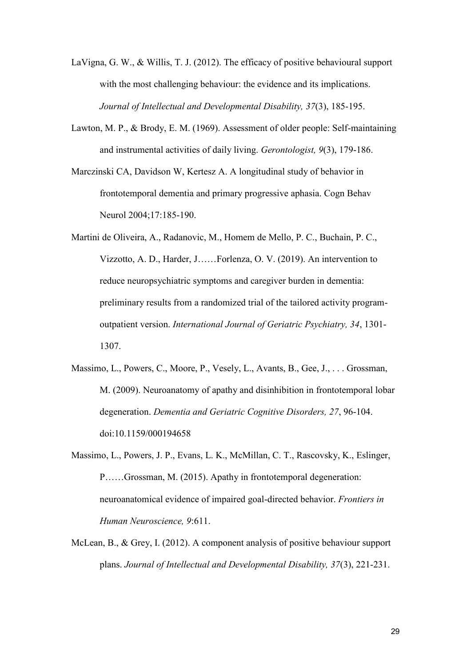- LaVigna, G. W., & Willis, T. J. (2012). The efficacy of positive behavioural support with the most challenging behaviour: the evidence and its implications. *Journal of Intellectual and Developmental Disability, 37*(3), 185-195.
- Lawton, M. P., & Brody, E. M. (1969). Assessment of older people: Self-maintaining and instrumental activities of daily living. *Gerontologist, 9*(3), 179-186.
- Marczinski CA, Davidson W, Kertesz A. A longitudinal study of behavior in frontotemporal dementia and primary progressive aphasia. Cogn Behav Neurol 2004;17:185-190.
- Martini de Oliveira, A., Radanovic, M., Homem de Mello, P. C., Buchain, P. C., Vizzotto, A. D., Harder, J……Forlenza, O. V. (2019). An intervention to reduce neuropsychiatric symptoms and caregiver burden in dementia: preliminary results from a randomized trial of the tailored activity programoutpatient version. *International Journal of Geriatric Psychiatry, 34*, 1301- 1307.
- Massimo, L., Powers, C., Moore, P., Vesely, L., Avants, B., Gee, J., . . . Grossman, M. (2009). Neuroanatomy of apathy and disinhibition in frontotemporal lobar degeneration. *Dementia and Geriatric Cognitive Disorders, 27*, 96-104. doi:10.1159/000194658
- Massimo, L., Powers, J. P., Evans, L. K., McMillan, C. T., Rascovsky, K., Eslinger, P……Grossman, M. (2015). Apathy in frontotemporal degeneration: neuroanatomical evidence of impaired goal-directed behavior. *Frontiers in Human Neuroscience, 9*:611.
- McLean, B., & Grey, I. (2012). A component analysis of positive behaviour support plans. *Journal of Intellectual and Developmental Disability, 37*(3), 221-231.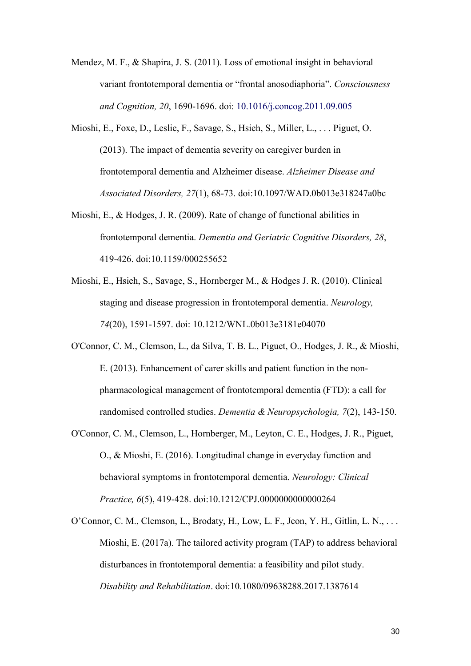Mendez, M. F., & Shapira, J. S. (2011). Loss of emotional insight in behavioral variant frontotemporal dementia or "frontal anosodiaphoria". *Consciousness and Cognition, 20*, 1690-1696. doi: 10.1016/j.concog.2011.09.005

- Mioshi, E., Foxe, D., Leslie, F., Savage, S., Hsieh, S., Miller, L., . . . Piguet, O. (2013). The impact of dementia severity on caregiver burden in frontotemporal dementia and Alzheimer disease. *Alzheimer Disease and Associated Disorders, 27*(1), 68-73. doi:10.1097/WAD.0b013e318247a0bc
- Mioshi, E., & Hodges, J. R. (2009). Rate of change of functional abilities in frontotemporal dementia. *Dementia and Geriatric Cognitive Disorders, 28*, 419-426. doi:10.1159/000255652
- Mioshi, E., Hsieh, S., Savage, S., Hornberger M., & Hodges J. R. (2010). Clinical staging and disease progression in frontotemporal dementia. *Neurology, 74*(20), 1591-1597. doi: 10.1212/WNL.0b013e3181e04070
- O'Connor, C. M., Clemson, L., da Silva, T. B. L., Piguet, O., Hodges, J. R., & Mioshi, E. (2013). Enhancement of carer skills and patient function in the nonpharmacological management of frontotemporal dementia (FTD): a call for randomised controlled studies. *Dementia & Neuropsychologia, 7*(2), 143-150.
- O'Connor, C. M., Clemson, L., Hornberger, M., Leyton, C. E., Hodges, J. R., Piguet, O., & Mioshi, E. (2016). Longitudinal change in everyday function and behavioral symptoms in frontotemporal dementia. *Neurology: Clinical Practice, 6*(5), 419-428. doi:10.1212/CPJ.0000000000000264
- O'Connor, C. M., Clemson, L., Brodaty, H., Low, L. F., Jeon, Y. H., Gitlin, L. N., . . . Mioshi, E. (2017a). The tailored activity program (TAP) to address behavioral disturbances in frontotemporal dementia: a feasibility and pilot study. *Disability and Rehabilitation*. doi:10.1080/09638288.2017.1387614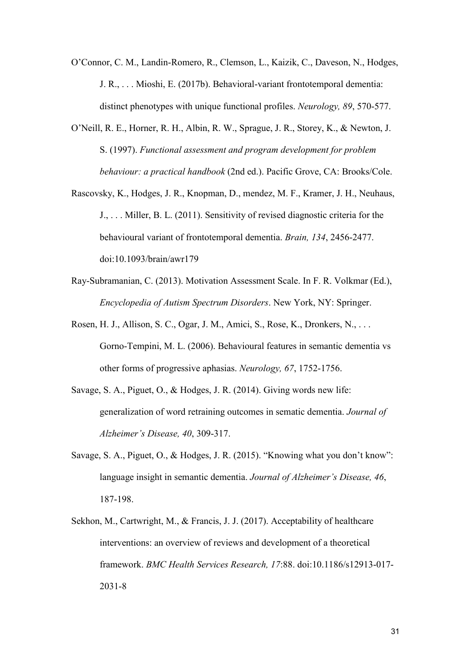O'Connor, C. M., Landin-Romero, R., Clemson, L., Kaizik, C., Daveson, N., Hodges, J. R., . . . Mioshi, E. (2017b). Behavioral-variant frontotemporal dementia: distinct phenotypes with unique functional profiles. *Neurology, 89*, 570-577.

- O'Neill, R. E., Horner, R. H., Albin, R. W., Sprague, J. R., Storey, K., & Newton, J. S. (1997). *Functional assessment and program development for problem behaviour: a practical handbook* (2nd ed.). Pacific Grove, CA: Brooks/Cole.
- Rascovsky, K., Hodges, J. R., Knopman, D., mendez, M. F., Kramer, J. H., Neuhaus, J., . . . Miller, B. L. (2011). Sensitivity of revised diagnostic criteria for the behavioural variant of frontotemporal dementia. *Brain, 134*, 2456-2477. doi:10.1093/brain/awr179
- Ray-Subramanian, C. (2013). Motivation Assessment Scale. In F. R. Volkmar (Ed.), *Encyclopedia of Autism Spectrum Disorders*. New York, NY: Springer.
- Rosen, H. J., Allison, S. C., Ogar, J. M., Amici, S., Rose, K., Dronkers, N., . . . Gorno-Tempini, M. L. (2006). Behavioural features in semantic dementia vs other forms of progressive aphasias. *Neurology, 67*, 1752-1756.
- Savage, S. A., Piguet, O., & Hodges, J. R. (2014). Giving words new life: generalization of word retraining outcomes in sematic dementia. *Journal of Alzheimer's Disease, 40*, 309-317.
- Savage, S. A., Piguet, O., & Hodges, J. R. (2015). "Knowing what you don't know": language insight in semantic dementia. *Journal of Alzheimer's Disease, 46*, 187-198.
- Sekhon, M., Cartwright, M., & Francis, J. J. (2017). Acceptability of healthcare interventions: an overview of reviews and development of a theoretical framework. *BMC Health Services Research, 17*:88. doi:10.1186/s12913-017- 2031-8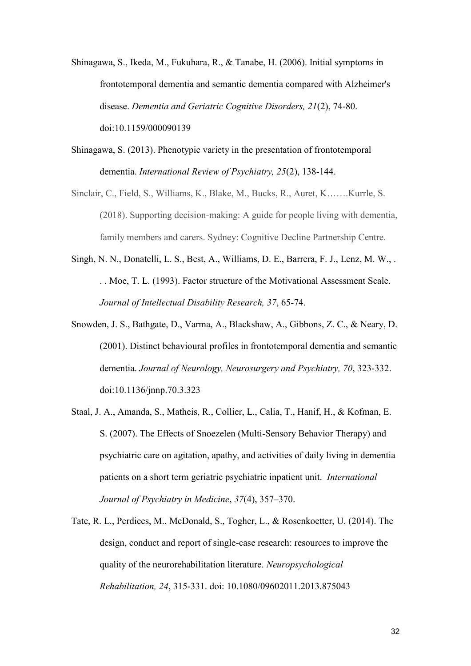- Shinagawa, S., Ikeda, M., Fukuhara, R., & Tanabe, H. (2006). Initial symptoms in frontotemporal dementia and semantic dementia compared with Alzheimer's disease. *Dementia and Geriatric Cognitive Disorders, 21*(2), 74-80. doi:10.1159/000090139
- Shinagawa, S. (2013). Phenotypic variety in the presentation of frontotemporal dementia. *International Review of Psychiatry, 25*(2), 138-144.
- Sinclair, C., Field, S., Williams, K., Blake, M., Bucks, R., Auret, K…….Kurrle, S. (2018). Supporting decision-making: A guide for people living with dementia, family members and carers. Sydney: Cognitive Decline Partnership Centre.
- Singh, N. N., Donatelli, L. S., Best, A., Williams, D. E., Barrera, F. J., Lenz, M. W., . . . Moe, T. L. (1993). Factor structure of the Motivational Assessment Scale. *Journal of Intellectual Disability Research, 37*, 65-74.
- Snowden, J. S., Bathgate, D., Varma, A., Blackshaw, A., Gibbons, Z. C., & Neary, D. (2001). Distinct behavioural profiles in frontotemporal dementia and semantic dementia. *Journal of Neurology, Neurosurgery and Psychiatry, 70*, 323-332. doi:10.1136/jnnp.70.3.323
- Staal, J. A., Amanda, S., Matheis, R., Collier, L., Calia, T., Hanif, H., & Kofman, E. S. (2007). The Effects of Snoezelen (Multi-Sensory Behavior Therapy) and psychiatric care on agitation, apathy, and activities of daily living in dementia patients on a short term geriatric psychiatric inpatient unit. *International Journal of Psychiatry in Medicine*, *37*(4), 357–370.
- Tate, R. L., Perdices, M., McDonald, S., Togher, L., & Rosenkoetter, U. (2014). The design, conduct and report of single-case research: resources to improve the quality of the neurorehabilitation literature. *Neuropsychological Rehabilitation, 24*, 315-331. doi: 10.1080/09602011.2013.875043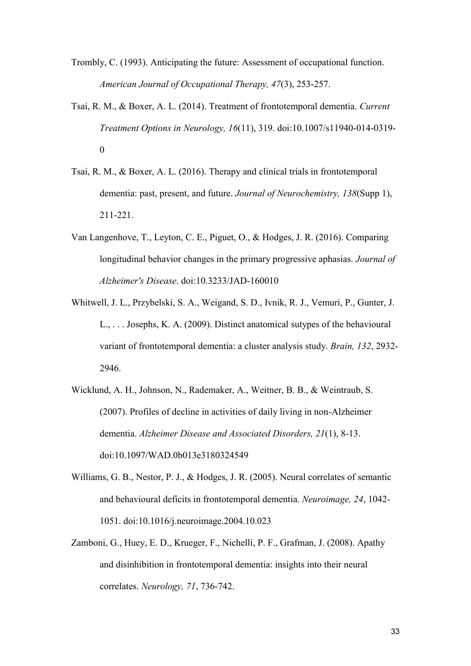- Trombly, C. (1993). Anticipating the future: Assessment of occupational function. *American Journal of Occupational Therapy, 47*(3), 253-257.
- Tsai, R. M., & Boxer, A. L. (2014). Treatment of frontotemporal dementia. *Current Treatment Options in Neurology, 16*(11), 319. doi:10.1007/s11940-014-0319- 0
- Tsai, R. M., & Boxer, A. L. (2016). Therapy and clinical trials in frontotemporal dementia: past, present, and future. *Journal of Neurochemistry, 138*(Supp 1), 211-221.
- Van Langenhove, T., Leyton, C. E., Piguet, O., & Hodges, J. R. (2016). Comparing longitudinal behavior changes in the primary progressive aphasias. *Journal of Alzheimer's Disease*. doi:10.3233/JAD-160010
- Whitwell, J. L., Przybelski, S. A., Weigand, S. D., Ivnik, R. J., Vemuri, P., Gunter, J. L., . . . Josephs, K. A. (2009). Distinct anatomical sutypes of the behavioural variant of frontotemporal dementia: a cluster analysis study. *Brain, 132*, 2932- 2946.
- Wicklund, A. H., Johnson, N., Rademaker, A., Weitner, B. B., & Weintraub, S. (2007). Profiles of decline in activities of daily living in non-Alzheimer dementia. *Alzheimer Disease and Associated Disorders, 21*(1), 8-13. doi:10.1097/WAD.0b013e3180324549
- Williams, G. B., Nestor, P. J., & Hodges, J. R. (2005). Neural correlates of semantic and behavioural deficits in frontotemporal dementia. *Neuroimage, 24*, 1042- 1051. doi:10.1016/j.neuroimage.2004.10.023
- Zamboni, G., Huey, E. D., Krueger, F., Nichelli, P. F., Grafman, J. (2008). Apathy and disinhibition in frontotemporal dementia: insights into their neural correlates. *Neurology, 71*, 736-742.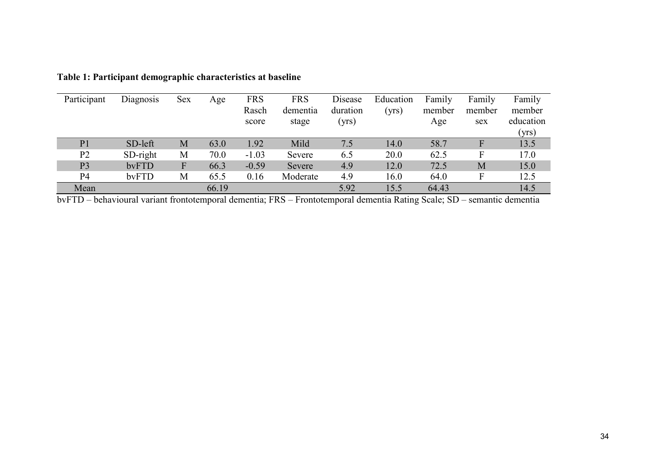| Participant    | Diagnosis  | Sex | Age   | <b>FRS</b> | <b>FRS</b> | Disease  | Education | Family | Family | Family    |
|----------------|------------|-----|-------|------------|------------|----------|-----------|--------|--------|-----------|
|                |            |     |       | Rasch      | dementia   | duration | (yrs)     | member | member | member    |
|                |            |     |       | score      | stage      | (yrs)    |           | Age    | sex    | education |
|                |            |     |       |            |            |          |           |        |        | (yrs)     |
| P <sub>1</sub> | SD-left    | M   | 63.0  | 1.92       | Mild       | 7.5      | 14.0      | 58.7   | F      | 13.5      |
| P <sub>2</sub> | $SD-right$ | M   | 70.0  | $-1.03$    | Severe     | 6.5      | 20.0      | 62.5   | F      | 17.0      |
| P <sub>3</sub> | bvFTD      | F   | 66.3  | $-0.59$    | Severe     | 4.9      | 12.0      | 72.5   | M      | 15.0      |
| P <sub>4</sub> | bvFTD      | M   | 65.5  | 0.16       | Moderate   | 4.9      | 16.0      | 64.0   | F      | 12.5      |
| Mean           |            |     | 66.19 |            |            | 5.92     | 15.5      | 64.43  |        | 14.5      |

**Table 1: Participant demographic characteristics at baseline**

bvFTD – behavioural variant frontotemporal dementia; FRS – Frontotemporal dementia Rating Scale; SD – semantic dementia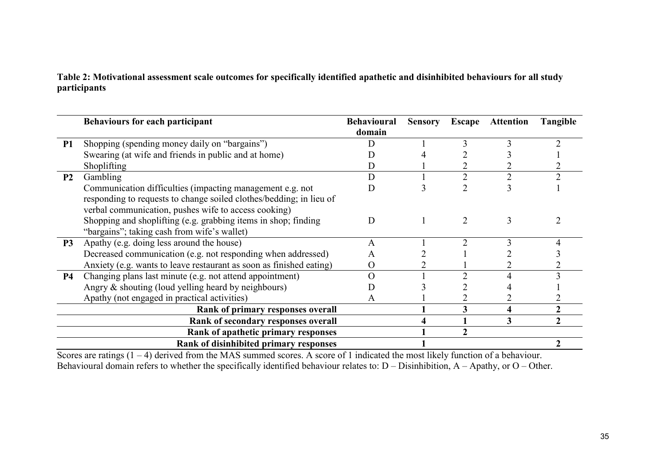**Table 2: Motivational assessment scale outcomes for specifically identified apathetic and disinhibited behaviours for all study participants** 

|                | <b>Behaviours for each participant</b>                              | <b>Behavioural</b><br>domain | <b>Sensory</b> | Escape | <b>Attention</b> | Tangible |
|----------------|---------------------------------------------------------------------|------------------------------|----------------|--------|------------------|----------|
| <b>P1</b>      | Shopping (spending money daily on "bargains")                       |                              |                |        |                  |          |
|                | Swearing (at wife and friends in public and at home)                |                              |                |        |                  |          |
|                | Shoplifting                                                         | D                            |                |        |                  |          |
| P <sub>2</sub> | Gambling                                                            | D                            |                |        |                  |          |
|                | Communication difficulties (impacting management e.g. not           | D                            |                |        |                  |          |
|                | responding to requests to change soiled clothes/bedding; in lieu of |                              |                |        |                  |          |
|                | verbal communication, pushes wife to access cooking)                |                              |                |        |                  |          |
|                | Shopping and shoplifting (e.g. grabbing items in shop; finding      | D                            |                |        | 3                |          |
|                | "bargains"; taking cash from wife's wallet)                         |                              |                |        |                  |          |
| <b>P3</b>      | Apathy (e.g. doing less around the house)                           | A                            |                |        |                  |          |
|                | Decreased communication (e.g. not responding when addressed)        | A                            |                |        |                  |          |
|                | Anxiety (e.g. wants to leave restaurant as soon as finished eating) | О                            |                |        |                  |          |
| <b>P4</b>      | Changing plans last minute (e.g. not attend appointment)            | O                            |                |        |                  |          |
|                | Angry & shouting (loud yelling heard by neighbours)                 |                              |                |        |                  |          |
|                | Apathy (not engaged in practical activities)                        | A                            |                |        |                  |          |
|                | Rank of primary responses overall                                   |                              |                |        | 4                |          |
|                | Rank of secondary responses overall                                 |                              |                |        | 3                |          |
|                | Rank of apathetic primary responses                                 |                              |                |        |                  |          |
|                | Rank of disinhibited primary responses                              |                              |                |        |                  |          |

Scores are ratings  $(1 - 4)$  derived from the MAS summed scores. A score of 1 indicated the most likely function of a behaviour. Behavioural domain refers to whether the specifically identified behaviour relates to:  $D -$  Disinhibition,  $A -$  Apathy, or  $O -$  Other.